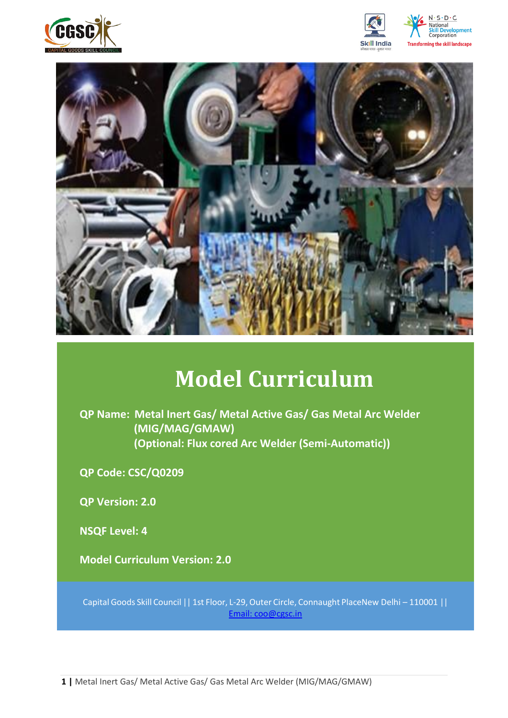







# **Model Curriculum**

**QP Name: Metal Inert Gas/ Metal Active Gas/ Gas Metal Arc Welder (MIG/MAG/GMAW) (Optional: Flux cored Arc Welder (Semi-Automatic))**

**QP Code: CSC/Q0209**

**QP Version: 2.0**

**NSQF Level: 4**

**Model Curriculum Version: 2.0** 

Capital Goods Skill Council || 1st Floor, L-29,Outer Circle, Connaught PlaceNew Delhi – 110001 || Email: [coo@cgsc.in](mailto:Email:%20coo@cgsc.in)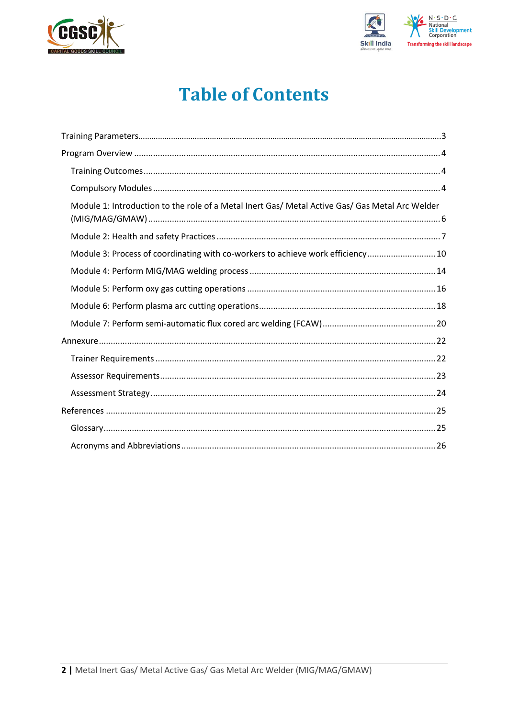



# **Table of Contents**

| Module 1: Introduction to the role of a Metal Inert Gas/ Metal Active Gas/ Gas Metal Arc Welder |  |
|-------------------------------------------------------------------------------------------------|--|
|                                                                                                 |  |
| Module 3: Process of coordinating with co-workers to achieve work efficiency10                  |  |
|                                                                                                 |  |
|                                                                                                 |  |
|                                                                                                 |  |
|                                                                                                 |  |
|                                                                                                 |  |
|                                                                                                 |  |
|                                                                                                 |  |
|                                                                                                 |  |
|                                                                                                 |  |
|                                                                                                 |  |
|                                                                                                 |  |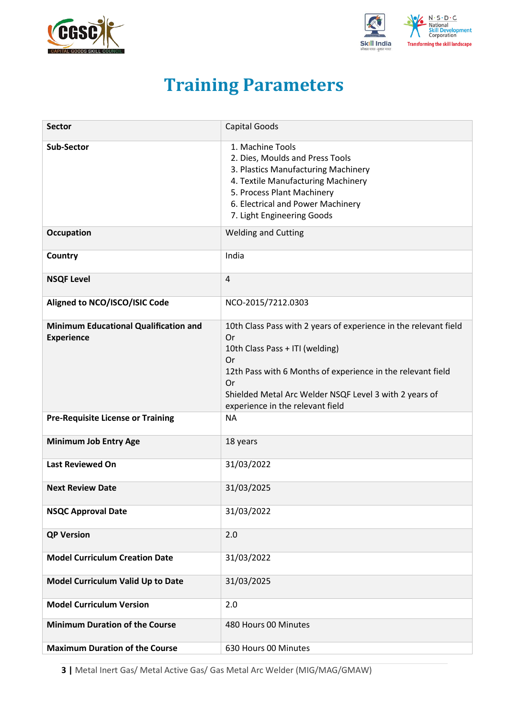<span id="page-2-0"></span>



# **Training Parameters**

| <b>Sector</b>                                                     | <b>Capital Goods</b>                                                                                                                                                                                                                                                               |
|-------------------------------------------------------------------|------------------------------------------------------------------------------------------------------------------------------------------------------------------------------------------------------------------------------------------------------------------------------------|
| <b>Sub-Sector</b>                                                 | 1. Machine Tools<br>2. Dies, Moulds and Press Tools<br>3. Plastics Manufacturing Machinery<br>4. Textile Manufacturing Machinery<br>5. Process Plant Machinery<br>6. Electrical and Power Machinery<br>7. Light Engineering Goods                                                  |
| <b>Occupation</b>                                                 | <b>Welding and Cutting</b>                                                                                                                                                                                                                                                         |
| Country                                                           | India                                                                                                                                                                                                                                                                              |
| <b>NSQF Level</b>                                                 | 4                                                                                                                                                                                                                                                                                  |
| Aligned to NCO/ISCO/ISIC Code                                     | NCO-2015/7212.0303                                                                                                                                                                                                                                                                 |
| <b>Minimum Educational Qualification and</b><br><b>Experience</b> | 10th Class Pass with 2 years of experience in the relevant field<br>Or<br>10th Class Pass + ITI (welding)<br>Or<br>12th Pass with 6 Months of experience in the relevant field<br>Or<br>Shielded Metal Arc Welder NSQF Level 3 with 2 years of<br>experience in the relevant field |
| <b>Pre-Requisite License or Training</b>                          | <b>NA</b>                                                                                                                                                                                                                                                                          |
| <b>Minimum Job Entry Age</b>                                      | 18 years                                                                                                                                                                                                                                                                           |
| <b>Last Reviewed On</b>                                           | 31/03/2022                                                                                                                                                                                                                                                                         |
| <b>Next Review Date</b>                                           | 31/03/2025                                                                                                                                                                                                                                                                         |
| <b>NSQC Approval Date</b>                                         | 31/03/2022                                                                                                                                                                                                                                                                         |
| <b>QP Version</b>                                                 | 2.0                                                                                                                                                                                                                                                                                |
| <b>Model Curriculum Creation Date</b>                             | 31/03/2022                                                                                                                                                                                                                                                                         |
| Model Curriculum Valid Up to Date                                 | 31/03/2025                                                                                                                                                                                                                                                                         |
| <b>Model Curriculum Version</b>                                   | 2.0                                                                                                                                                                                                                                                                                |
| <b>Minimum Duration of the Course</b>                             | 480 Hours 00 Minutes                                                                                                                                                                                                                                                               |
| <b>Maximum Duration of the Course</b>                             | 630 Hours 00 Minutes                                                                                                                                                                                                                                                               |

**3 |** Metal Inert Gas/ Metal Active Gas/ Gas Metal Arc Welder (MIG/MAG/GMAW)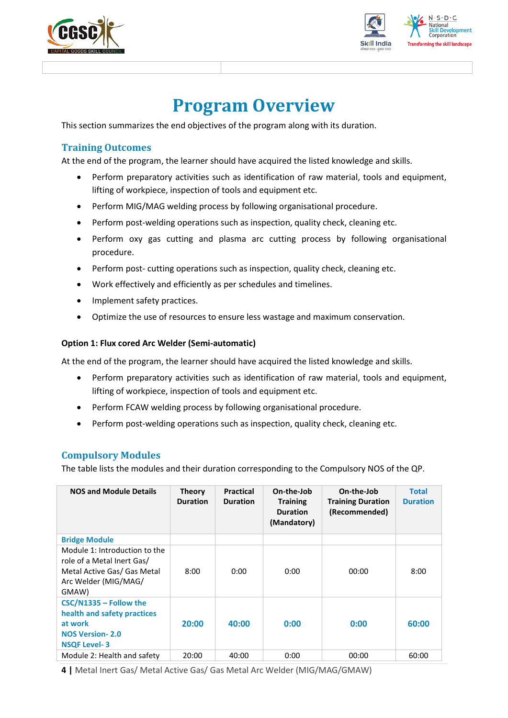



## **Program Overview**

<span id="page-3-0"></span>This section summarizes the end objectives of the program along with its duration.

## <span id="page-3-1"></span>**Training Outcomes**

<span id="page-3-2"></span>At the end of the program, the learner should have acquired the listed knowledge and skills.

- Perform preparatory activities such as identification of raw material, tools and equipment, lifting of workpiece, inspection of tools and equipment etc.
- Perform MIG/MAG welding process by following organisational procedure.
- Perform post-welding operations such as inspection, quality check, cleaning etc.
- Perform oxy gas cutting and plasma arc cutting process by following organisational procedure.
- Perform post- cutting operations such as inspection, quality check, cleaning etc.
- Work effectively and efficiently as per schedules and timelines.
- Implement safety practices.
- Optimize the use of resources to ensure less wastage and maximum conservation.

### **Option 1: Flux cored Arc Welder (Semi-automatic)**

At the end of the program, the learner should have acquired the listed knowledge and skills.

- Perform preparatory activities such as identification of raw material, tools and equipment, lifting of workpiece, inspection of tools and equipment etc.
- Perform FCAW welding process by following organisational procedure.
- Perform post-welding operations such as inspection, quality check, cleaning etc.

## **Compulsory Modules**

The table lists the modules and their duration corresponding to the Compulsory NOS of the QP.

| <b>NOS and Module Details</b>                                                                                               | <b>Theory</b><br><b>Duration</b> | <b>Practical</b><br><b>Duration</b> | On-the-Job<br><b>Training</b><br><b>Duration</b><br>(Mandatory) | On-the-Job<br><b>Training Duration</b><br>(Recommended) | <b>Total</b><br><b>Duration</b> |
|-----------------------------------------------------------------------------------------------------------------------------|----------------------------------|-------------------------------------|-----------------------------------------------------------------|---------------------------------------------------------|---------------------------------|
| <b>Bridge Module</b>                                                                                                        |                                  |                                     |                                                                 |                                                         |                                 |
| Module 1: Introduction to the<br>role of a Metal Inert Gas/<br>Metal Active Gas/ Gas Metal<br>Arc Welder (MIG/MAG/<br>GMAW) | 8:00                             | 0:00                                | 0:00                                                            | 00:00                                                   | 8:00                            |
| CSC/N1335 - Follow the<br>health and safety practices<br>at work<br><b>NOS Version-2.0</b><br><b>NSQF Level-3</b>           | 20:00                            | 40:00                               | 0:00                                                            | 0:00                                                    | 60:00                           |
| Module 2: Health and safety                                                                                                 | 20:00                            | 40:00                               | 0:00                                                            | 00:00                                                   | 60:00                           |

**4 |** Metal Inert Gas/ Metal Active Gas/ Gas Metal Arc Welder (MIG/MAG/GMAW)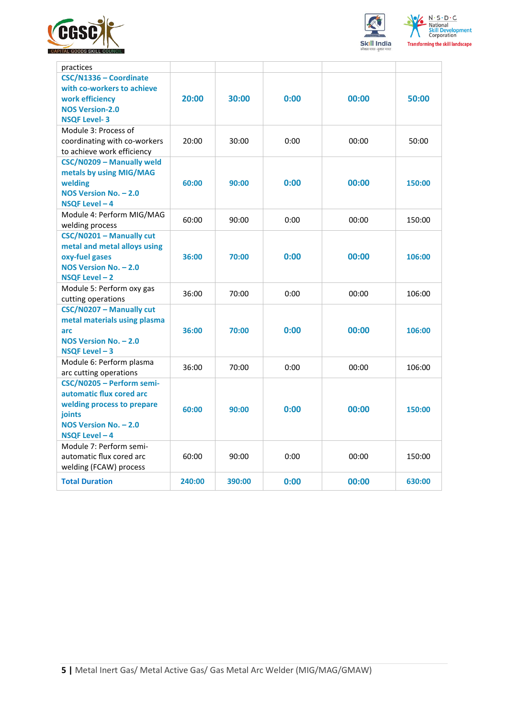



|                                         | 5.11.1.<br>National<br><b>Skill Development</b><br>Corporation |  |  |
|-----------------------------------------|----------------------------------------------------------------|--|--|
| <b>Transforming the skill landscape</b> |                                                                |  |  |

| practices                    |        |        |      |       |        |
|------------------------------|--------|--------|------|-------|--------|
| CSC/N1336 - Coordinate       |        |        |      |       |        |
| with co-workers to achieve   |        |        |      |       |        |
| work efficiency              | 20:00  | 30:00  | 0:00 | 00:00 | 50:00  |
| <b>NOS Version-2.0</b>       |        |        |      |       |        |
| <b>NSQF Level-3</b>          |        |        |      |       |        |
| Module 3: Process of         |        |        |      |       |        |
| coordinating with co-workers | 20:00  | 30:00  | 0:00 | 00:00 | 50:00  |
| to achieve work efficiency   |        |        |      |       |        |
| CSC/N0209 - Manually weld    |        |        |      |       |        |
| metals by using MIG/MAG      |        |        |      |       |        |
| welding                      | 60:00  | 90:00  | 0:00 | 00:00 | 150:00 |
| NOS Version No. - 2.0        |        |        |      |       |        |
| NSQF Level - 4               |        |        |      |       |        |
| Module 4: Perform MIG/MAG    |        |        |      |       |        |
| welding process              | 60:00  | 90:00  | 0:00 | 00:00 | 150:00 |
| CSC/N0201 - Manually cut     |        |        |      |       |        |
| metal and metal alloys using |        |        |      |       |        |
| oxy-fuel gases               | 36:00  | 70:00  | 0:00 | 00:00 | 106:00 |
| NOS Version No. - 2.0        |        |        |      |       |        |
| NSQF Level-2                 |        |        |      |       |        |
| Module 5: Perform oxy gas    | 36:00  | 70:00  | 0:00 | 00:00 | 106:00 |
| cutting operations           |        |        |      |       |        |
| CSC/N0207 - Manually cut     |        |        |      |       |        |
| metal materials using plasma |        |        |      |       |        |
| arc                          | 36:00  | 70:00  | 0:00 | 00:00 | 106:00 |
| NOS Version No. - 2.0        |        |        |      |       |        |
| NSQF Level-3                 |        |        |      |       |        |
| Module 6: Perform plasma     | 36:00  | 70:00  | 0:00 | 00:00 | 106:00 |
| arc cutting operations       |        |        |      |       |        |
| CSC/N0205 - Perform semi-    |        |        |      |       |        |
| automatic flux cored arc     |        |        |      |       |        |
| welding process to prepare   | 60:00  | 90:00  | 0:00 | 00:00 | 150:00 |
| joints                       |        |        |      |       |        |
| NOS Version No. - 2.0        |        |        |      |       |        |
| NSQF Level - 4               |        |        |      |       |        |
| Module 7: Perform semi-      |        |        |      |       |        |
| automatic flux cored arc     | 60:00  | 90:00  | 0:00 | 00:00 | 150:00 |
| welding (FCAW) process       |        |        |      |       |        |
| <b>Total Duration</b>        | 240:00 | 390:00 | 0:00 | 00:00 | 630:00 |
|                              |        |        |      |       |        |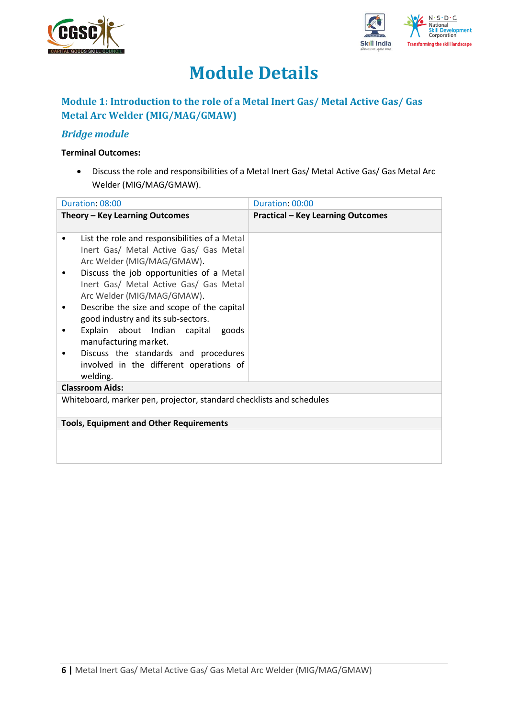



# **Module Details**

## **Module 1: Introduction to the role of a Metal Inert Gas/ Metal Active Gas/ Gas Metal Arc Welder (MIG/MAG/GMAW)**

## *Bridge module*

### **Terminal Outcomes:**

• Discuss the role and responsibilities of a Metal Inert Gas/ Metal Active Gas/ Gas Metal Arc Welder (MIG/MAG/GMAW).

| Duration: 08:00                                                                                                                                                                                                                                                                                                                                                                                                                                                                           | Duration: 00:00                          |
|-------------------------------------------------------------------------------------------------------------------------------------------------------------------------------------------------------------------------------------------------------------------------------------------------------------------------------------------------------------------------------------------------------------------------------------------------------------------------------------------|------------------------------------------|
| Theory – Key Learning Outcomes                                                                                                                                                                                                                                                                                                                                                                                                                                                            | <b>Practical - Key Learning Outcomes</b> |
| List the role and responsibilities of a Metal<br>٠<br>Inert Gas/ Metal Active Gas/ Gas Metal<br>Arc Welder (MIG/MAG/GMAW).<br>Discuss the job opportunities of a Metal<br>Inert Gas/ Metal Active Gas/ Gas Metal<br>Arc Welder (MIG/MAG/GMAW).<br>Describe the size and scope of the capital<br>٠<br>good industry and its sub-sectors.<br>Explain about Indian capital goods<br>manufacturing market.<br>Discuss the standards and procedures<br>involved in the different operations of |                                          |
| welding.<br><b>Classroom Aids:</b>                                                                                                                                                                                                                                                                                                                                                                                                                                                        |                                          |
| Whiteboard, marker pen, projector, standard checklists and schedules                                                                                                                                                                                                                                                                                                                                                                                                                      |                                          |
|                                                                                                                                                                                                                                                                                                                                                                                                                                                                                           |                                          |
| <b>Tools, Equipment and Other Requirements</b>                                                                                                                                                                                                                                                                                                                                                                                                                                            |                                          |
|                                                                                                                                                                                                                                                                                                                                                                                                                                                                                           |                                          |
|                                                                                                                                                                                                                                                                                                                                                                                                                                                                                           |                                          |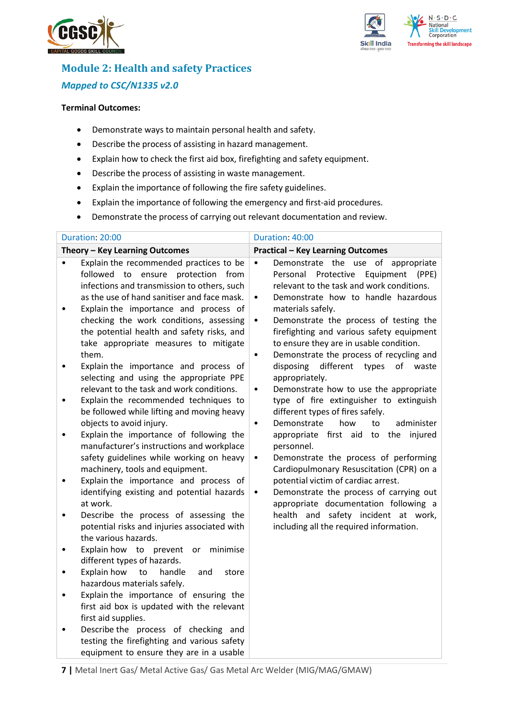



## **Module 2: Health and safety Practices** *Mapped to CSC/N1335 v2.0*

#### **Terminal Outcomes:**

- Demonstrate ways to maintain personal health and safety.
- Describe the process of assisting in hazard management.
- Explain how to check the first aid box, firefighting and safety equipment.
- Describe the process of assisting in waste management.
- Explain the importance of following the fire safety guidelines.
- Explain the importance of following the emergency and first-aid procedures.
- Demonstrate the process of carrying out relevant documentation and review.

| Duration: 20:00                                                                                                                                                                                                                                                                                                                                                                                                                                                                                                                                                                                                                                                                                                                                                                                                                                                                                                                                                                                                                                                                                                                                                                                                                                                                                                                                                                                                                                                                                                                                             | Duration: 40:00                                                                                                                                                                                                                                                                                                                                                                                                                                                                                                                                                                                                                                                                                                                                                                                                                                                                                                                                                                                                                                                  |
|-------------------------------------------------------------------------------------------------------------------------------------------------------------------------------------------------------------------------------------------------------------------------------------------------------------------------------------------------------------------------------------------------------------------------------------------------------------------------------------------------------------------------------------------------------------------------------------------------------------------------------------------------------------------------------------------------------------------------------------------------------------------------------------------------------------------------------------------------------------------------------------------------------------------------------------------------------------------------------------------------------------------------------------------------------------------------------------------------------------------------------------------------------------------------------------------------------------------------------------------------------------------------------------------------------------------------------------------------------------------------------------------------------------------------------------------------------------------------------------------------------------------------------------------------------------|------------------------------------------------------------------------------------------------------------------------------------------------------------------------------------------------------------------------------------------------------------------------------------------------------------------------------------------------------------------------------------------------------------------------------------------------------------------------------------------------------------------------------------------------------------------------------------------------------------------------------------------------------------------------------------------------------------------------------------------------------------------------------------------------------------------------------------------------------------------------------------------------------------------------------------------------------------------------------------------------------------------------------------------------------------------|
| Theory - Key Learning Outcomes                                                                                                                                                                                                                                                                                                                                                                                                                                                                                                                                                                                                                                                                                                                                                                                                                                                                                                                                                                                                                                                                                                                                                                                                                                                                                                                                                                                                                                                                                                                              | <b>Practical - Key Learning Outcomes</b>                                                                                                                                                                                                                                                                                                                                                                                                                                                                                                                                                                                                                                                                                                                                                                                                                                                                                                                                                                                                                         |
| Explain the recommended practices to be<br>$\bullet$<br>followed to ensure protection from<br>infections and transmission to others, such<br>as the use of hand sanitiser and face mask.<br>Explain the importance and process of<br>$\bullet$<br>checking the work conditions, assessing<br>the potential health and safety risks, and<br>take appropriate measures to mitigate<br>them.<br>Explain the importance and process of<br>$\bullet$<br>selecting and using the appropriate PPE<br>relevant to the task and work conditions.<br>Explain the recommended techniques to<br>$\bullet$<br>be followed while lifting and moving heavy<br>objects to avoid injury.<br>Explain the importance of following the<br>$\bullet$<br>manufacturer's instructions and workplace<br>safety guidelines while working on heavy<br>machinery, tools and equipment.<br>Explain the importance and process of<br>$\bullet$<br>identifying existing and potential hazards<br>at work.<br>Describe the process of assessing the<br>$\bullet$<br>potential risks and injuries associated with<br>the various hazards.<br>Explain how to prevent<br>or<br>minimise<br>$\bullet$<br>different types of hazards.<br>Explain how<br>to<br>handle<br>and<br>store<br>$\bullet$<br>hazardous materials safely.<br>Explain the importance of ensuring the<br>$\bullet$<br>first aid box is updated with the relevant<br>first aid supplies.<br>Describe the process of checking and<br>testing the firefighting and various safety<br>equipment to ensure they are in a usable | Demonstrate the use of appropriate<br>$\bullet$<br>Protective<br>Equipment<br>Personal<br>(PPE)<br>relevant to the task and work conditions.<br>Demonstrate how to handle hazardous<br>٠<br>materials safely.<br>Demonstrate the process of testing the<br>٠<br>firefighting and various safety equipment<br>to ensure they are in usable condition.<br>Demonstrate the process of recycling and<br>$\bullet$<br>disposing<br>different<br>types<br>of<br>waste<br>appropriately.<br>Demonstrate how to use the appropriate<br>$\bullet$<br>type of fire extinguisher to extinguish<br>different types of fires safely.<br>administer<br>Demonstrate<br>how<br>to<br>$\bullet$<br>appropriate first aid to the injured<br>personnel.<br>Demonstrate the process of performing<br>$\bullet$<br>Cardiopulmonary Resuscitation (CPR) on a<br>potential victim of cardiac arrest.<br>Demonstrate the process of carrying out<br>$\bullet$<br>appropriate documentation following a<br>health and safety incident at work,<br>including all the required information. |

**7 |** Metal Inert Gas/ Metal Active Gas/ Gas Metal Arc Welder (MIG/MAG/GMAW)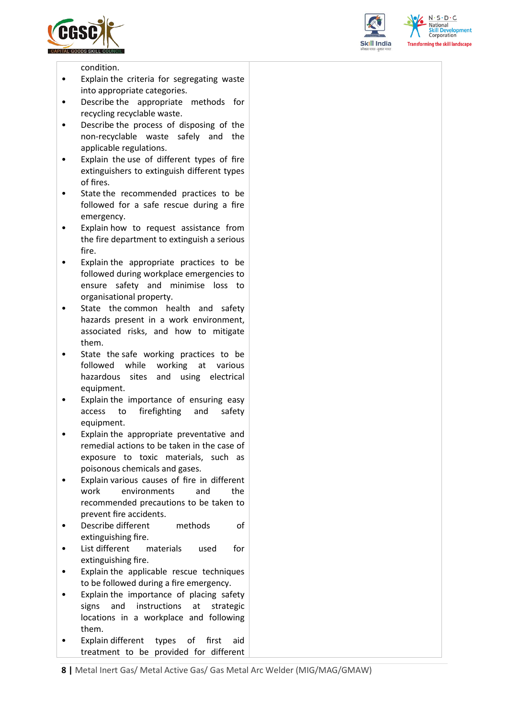





condition.

- Explain the criteria for segregating waste into appropriate categories.
- Describe the appropriate methods for recycling recyclable waste.
- Describe the process of disposing of the non-recyclable waste safely and the applicable regulations.
- Explain the use of different types of fire extinguishers to extinguish different types of fires.
- State the recommended practices to be followed for a safe rescue during a fire emergency.
- Explain how to request assistance from the fire department to extinguish a serious fire.
- Explain the appropriate practices to be followed during workplace emergencies to ensure safety and minimise loss to organisational property.
- State the common health and safety hazards present in a work environment, associated risks, and how to mitigate them.
- State the safe working practices to be followed while working at various hazardous sites and using electrical equipment.
- Explain the importance of ensuring easy access to firefighting and safety equipment.
- Explain the appropriate preventative and remedial actions to be taken in the case of exposure to toxic materials, such as poisonous chemicals and gases.
- Explain various causes of fire in different work environments and the recommended precautions to be taken to prevent fire accidents.
- Describe different methods of extinguishing fire.
- List different materials used for extinguishing fire.
- Explain the applicable rescue techniques to be followed during a fire emergency.
- Explain the importance of placing safety signs and instructions at strategic locations in a workplace and following them.
- Explain different types of first aid treatment to be provided for different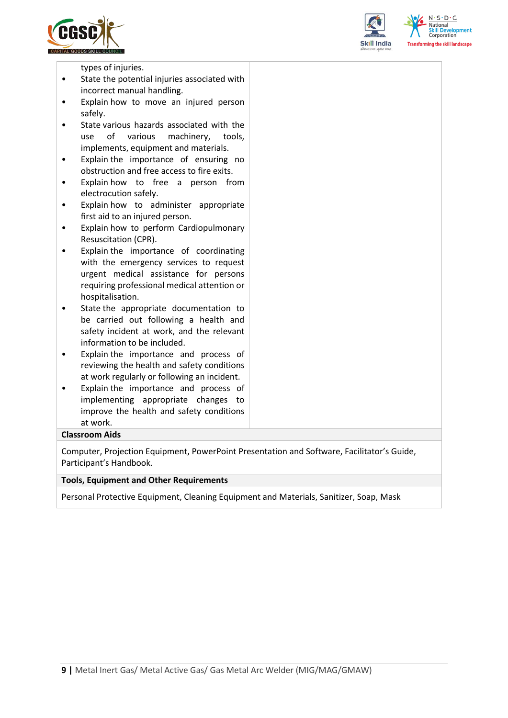



 $S \cdot D \cdot C$ rming the skill landscape

types of injuries.

- State the potential injuries associated with incorrect manual handling.
- Explain how to move an injured person safely.
- State various hazards associated with the use of various machinery, tools, implements, equipment and materials.
- Explain the importance of ensuring no obstruction and free access to fire exits.
- Explain how to free a person from electrocution safely.
- Explain how to administer appropriate first aid to an injured person.
- Explain how to perform Cardiopulmonary Resuscitation (CPR).
- Explain the importance of coordinating with the emergency services to request urgent medical assistance for persons requiring professional medical attention or hospitalisation.
- State the appropriate documentation to be carried out following a health and safety incident at work, and the relevant information to be included.
- Explain the importance and process of reviewing the health and safety conditions at work regularly or following an incident.
- Explain the importance and process of implementing appropriate changes to improve the health and safety conditions at work.

### **Classroom Aids**

Computer, Projection Equipment, PowerPoint Presentation and Software, Facilitator's Guide, Participant's Handbook.

#### **Tools, Equipment and Other Requirements**

Personal Protective Equipment, Cleaning Equipment and Materials, Sanitizer, Soap, Mask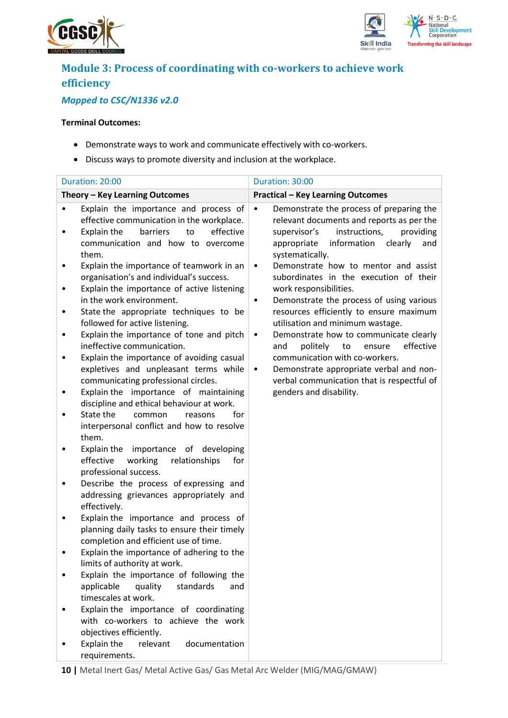



## **Module 3: Process of coordinating with co-workers to achieve work efficiency**

## *Mapped to CSC/N1336 v2.0*

- Demonstrate ways to work and communicate effectively with co-workers.
- Discuss ways to promote diversity and inclusion at the workplace.

|   | Duration: 20:00                                                                                                                                                                | Duration: 30:00                                                                                                                                                                                                     |
|---|--------------------------------------------------------------------------------------------------------------------------------------------------------------------------------|---------------------------------------------------------------------------------------------------------------------------------------------------------------------------------------------------------------------|
|   | Theory - Key Learning Outcomes                                                                                                                                                 | <b>Practical - Key Learning Outcomes</b>                                                                                                                                                                            |
|   | Explain the importance and process of<br>effective communication in the workplace.<br>to<br>effective<br>Explain the<br>barriers<br>communication and how to overcome<br>them. | Demonstrate the process of preparing the<br>$\bullet$<br>relevant documents and reports as per the<br>instructions,<br>providing<br>supervisor's<br>information<br>clearly<br>appropriate<br>and<br>systematically. |
| ٠ | Explain the importance of teamwork in an<br>organisation's and individual's success.<br>Explain the importance of active listening<br>in the work environment.                 | Demonstrate how to mentor and assist<br>$\bullet$<br>subordinates in the execution of their<br>work responsibilities.<br>Demonstrate the process of using various<br>$\bullet$                                      |
| ٠ | State the appropriate techniques to be<br>followed for active listening.                                                                                                       | resources efficiently to ensure maximum<br>utilisation and minimum wastage.                                                                                                                                         |
| ٠ | Explain the importance of tone and pitch<br>ineffective communication.<br>Explain the importance of avoiding casual<br>expletives and unpleasant terms while                   | Demonstrate how to communicate clearly<br>$\bullet$<br>politely<br>to<br>ensure<br>effective<br>and<br>communication with co-workers.<br>Demonstrate appropriate verbal and non-<br>$\bullet$                       |
|   | communicating professional circles.<br>Explain the importance of maintaining<br>discipline and ethical behaviour at work.                                                      | verbal communication that is respectful of<br>genders and disability.                                                                                                                                               |
|   | State the<br>for<br>common<br>reasons<br>interpersonal conflict and how to resolve<br>them.                                                                                    |                                                                                                                                                                                                                     |
|   | Explain the importance of developing<br>effective<br>working<br>relationships<br>for<br>professional success.                                                                  |                                                                                                                                                                                                                     |
| ٠ | Describe the process of expressing and<br>addressing grievances appropriately and<br>effectively.                                                                              |                                                                                                                                                                                                                     |
|   | Explain the importance and process of<br>planning daily tasks to ensure their timely<br>completion and efficient use of time.                                                  |                                                                                                                                                                                                                     |
|   | Explain the importance of adhering to the<br>limits of authority at work.                                                                                                      |                                                                                                                                                                                                                     |
|   | Explain the importance of following the<br>applicable<br>quality<br>standards<br>and<br>timescales at work.                                                                    |                                                                                                                                                                                                                     |
|   | Explain the importance of coordinating<br>with co-workers to achieve the work<br>objectives efficiently.                                                                       |                                                                                                                                                                                                                     |
|   | Explain the<br>relevant<br>documentation<br>requirements.                                                                                                                      |                                                                                                                                                                                                                     |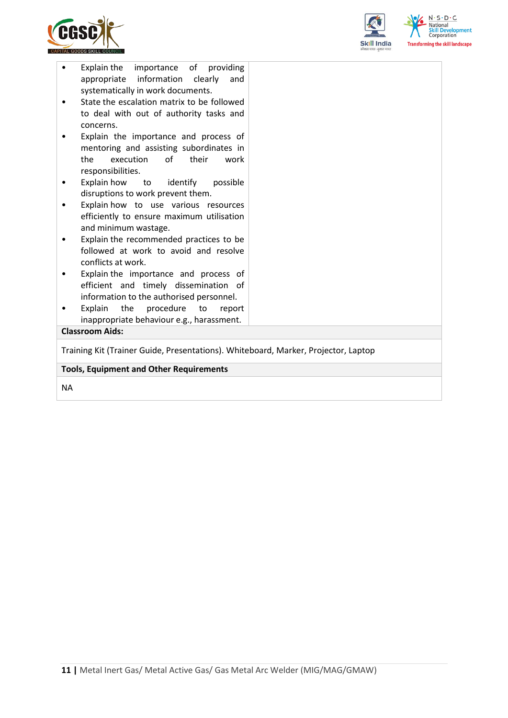



| Explain the importance of providing<br>appropriate information<br>clearly<br>and<br>systematically in work documents.<br>State the escalation matrix to be followed<br>to deal with out of authority tasks and<br>concerns.<br>Explain the importance and process of<br>mentoring and assisting subordinates in<br>of the contract of the contract of the contract of the contract of the contract of the contract of the contract of the contract of the contract of the contract of the contract of the contract of the contract of the contrac<br>execution<br>their<br>the<br>work<br>responsibilities.<br>Explain how<br>identify<br>possible<br>to<br>٠<br>disruptions to work prevent them.<br>Explain how to use various resources<br>efficiently to ensure maximum utilisation<br>and minimum wastage.<br>Explain the recommended practices to be<br>٠<br>followed at work to avoid and resolve<br>conflicts at work.<br>Explain the importance and process of<br>٠<br>efficient and timely dissemination of<br>information to the authorised personnel.<br>Explain<br>the<br>procedure<br>to<br>report |  |  |
|------------------------------------------------------------------------------------------------------------------------------------------------------------------------------------------------------------------------------------------------------------------------------------------------------------------------------------------------------------------------------------------------------------------------------------------------------------------------------------------------------------------------------------------------------------------------------------------------------------------------------------------------------------------------------------------------------------------------------------------------------------------------------------------------------------------------------------------------------------------------------------------------------------------------------------------------------------------------------------------------------------------------------------------------------------------------------------------------------------------|--|--|
|                                                                                                                                                                                                                                                                                                                                                                                                                                                                                                                                                                                                                                                                                                                                                                                                                                                                                                                                                                                                                                                                                                                  |  |  |
| inappropriate behaviour e.g., harassment.                                                                                                                                                                                                                                                                                                                                                                                                                                                                                                                                                                                                                                                                                                                                                                                                                                                                                                                                                                                                                                                                        |  |  |
| <b>Classroom Aids:</b>                                                                                                                                                                                                                                                                                                                                                                                                                                                                                                                                                                                                                                                                                                                                                                                                                                                                                                                                                                                                                                                                                           |  |  |
|                                                                                                                                                                                                                                                                                                                                                                                                                                                                                                                                                                                                                                                                                                                                                                                                                                                                                                                                                                                                                                                                                                                  |  |  |
| Training Kit (Trainer Guide, Presentations). Whiteboard, Marker, Projector, Laptop                                                                                                                                                                                                                                                                                                                                                                                                                                                                                                                                                                                                                                                                                                                                                                                                                                                                                                                                                                                                                               |  |  |
| <b>Tools, Equipment and Other Requirements</b>                                                                                                                                                                                                                                                                                                                                                                                                                                                                                                                                                                                                                                                                                                                                                                                                                                                                                                                                                                                                                                                                   |  |  |
|                                                                                                                                                                                                                                                                                                                                                                                                                                                                                                                                                                                                                                                                                                                                                                                                                                                                                                                                                                                                                                                                                                                  |  |  |

NA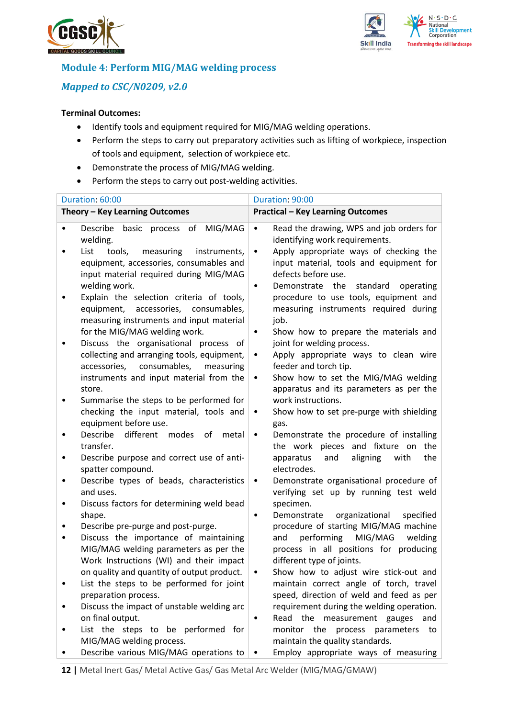



## **Module 4: Perform MIG/MAG welding process**

## *Mapped to CSC/N0209, v2.0*

- Identify tools and equipment required for MIG/MAG welding operations.
- Perform the steps to carry out preparatory activities such as lifting of workpiece, inspection of tools and equipment, selection of workpiece etc.
- Demonstrate the process of MIG/MAG welding.
- Perform the steps to carry out post-welding activities.

|           | Duration: 60:00                                                                                                                                   | Duration: 90:00                                                                                                                                                        |    |  |
|-----------|---------------------------------------------------------------------------------------------------------------------------------------------------|------------------------------------------------------------------------------------------------------------------------------------------------------------------------|----|--|
|           | Theory - Key Learning Outcomes                                                                                                                    | <b>Practical - Key Learning Outcomes</b>                                                                                                                               |    |  |
| $\bullet$ | basic process of MIG/MAG<br>Describe<br>welding.                                                                                                  | Read the drawing, WPS and job orders for<br>$\bullet$<br>identifying work requirements.                                                                                |    |  |
|           | measuring<br>instruments,<br>List<br>tools,<br>equipment, accessories, consumables and<br>input material required during MIG/MAG<br>welding work. | Apply appropriate ways of checking the<br>$\bullet$<br>input material, tools and equipment for<br>defects before use.<br>Demonstrate the<br>standard<br>operating<br>٠ |    |  |
|           | Explain the selection criteria of tools,<br>equipment, accessories, consumables,<br>measuring instruments and input material                      | procedure to use tools, equipment and<br>measuring instruments required during<br>job.                                                                                 |    |  |
|           | for the MIG/MAG welding work.<br>Discuss the organisational process of                                                                            | Show how to prepare the materials and<br>٠<br>joint for welding process.                                                                                               |    |  |
|           | collecting and arranging tools, equipment,<br>consumables,<br>accessories,<br>measuring<br>instruments and input material from the                | Apply appropriate ways to clean wire<br>$\bullet$<br>feeder and torch tip.<br>Show how to set the MIG/MAG welding<br>٠                                                 |    |  |
|           | store.                                                                                                                                            | apparatus and its parameters as per the                                                                                                                                |    |  |
| ٠         | Summarise the steps to be performed for<br>checking the input material, tools and<br>equipment before use.                                        | work instructions.<br>Show how to set pre-purge with shielding<br>٠                                                                                                    |    |  |
|           | Describe<br>different<br>modes<br>of<br>metal<br>transfer.                                                                                        | gas.<br>Demonstrate the procedure of installing<br>$\bullet$<br>the work pieces and fixture on<br>the                                                                  |    |  |
| ٠         | Describe purpose and correct use of anti-<br>spatter compound.                                                                                    | apparatus<br>aligning<br>with<br>the<br>and<br>electrodes.                                                                                                             |    |  |
| ٠         | Describe types of beads, characteristics<br>and uses.                                                                                             | Demonstrate organisational procedure of<br>$\bullet$<br>verifying set up by running test weld                                                                          |    |  |
| ٠         | Discuss factors for determining weld bead<br>shape.                                                                                               | specimen.<br>Demonstrate organizational<br>specified<br>$\bullet$                                                                                                      |    |  |
| ٠         | Describe pre-purge and post-purge.                                                                                                                | procedure of starting MIG/MAG machine                                                                                                                                  |    |  |
|           | Discuss the importance of maintaining<br>MIG/MAG welding parameters as per the                                                                    | MIG/MAG<br>performing<br>welding<br>and<br>process in all positions for producing                                                                                      |    |  |
|           | Work Instructions (WI) and their impact                                                                                                           | different type of joints.                                                                                                                                              |    |  |
|           | on quality and quantity of output product.<br>List the steps to be performed for joint                                                            | Show how to adjust wire stick-out and<br>maintain correct angle of torch, travel                                                                                       |    |  |
|           | preparation process.<br>Discuss the impact of unstable welding arc                                                                                | speed, direction of weld and feed as per<br>requirement during the welding operation.<br>Read the measurement gauges                                                   |    |  |
|           | on final output.<br>List the steps to be performed for<br>MIG/MAG welding process.                                                                | and<br>٠<br>monitor the<br>process<br>parameters<br>maintain the quality standards.                                                                                    | to |  |
|           | Describe various MIG/MAG operations to                                                                                                            | Employ appropriate ways of measuring                                                                                                                                   |    |  |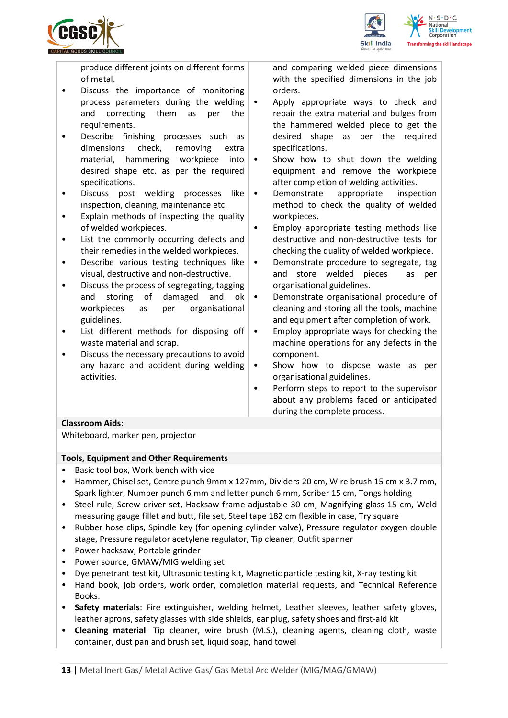



produce different joints on different forms of metal.

- Discuss the importance of monitoring process parameters during the welding and correcting them as per the requirements.
- Describe finishing processes such as dimensions check, removing extra material, hammering workpiece into desired shape etc. as per the required specifications.
- Discuss post welding processes like inspection, cleaning, maintenance etc.
- Explain methods of inspecting the quality of welded workpieces.
- List the commonly occurring defects and their remedies in the welded workpieces.
- Describe various testing techniques like visual, destructive and non-destructive.
- Discuss the process of segregating, tagging and storing of damaged and ok workpieces as per organisational guidelines.
- List different methods for disposing off waste material and scrap.
- Discuss the necessary precautions to avoid any hazard and accident during welding activities.

and comparing welded piece dimensions with the specified dimensions in the job orders.

- Apply appropriate ways to check and repair the extra material and bulges from the hammered welded piece to get the desired shape as per the required specifications.
- Show how to shut down the welding equipment and remove the workpiece after completion of welding activities.
- Demonstrate appropriate inspection method to check the quality of welded workpieces.
- Employ appropriate testing methods like destructive and non-destructive tests for checking the quality of welded workpiece.
- Demonstrate procedure to segregate, tag and store welded pieces as per organisational guidelines.
- Demonstrate organisational procedure of cleaning and storing all the tools, machine and equipment after completion of work.
- Employ appropriate ways for checking the machine operations for any defects in the component.
- Show how to dispose waste as per organisational guidelines.
- Perform steps to report to the supervisor about any problems faced or anticipated during the complete process.

### **Classroom Aids:**

Whiteboard, marker pen, projector

### **Tools, Equipment and Other Requirements**

- Basic tool box, Work bench with vice
- Hammer, Chisel set, Centre punch 9mm x 127mm, Dividers 20 cm, Wire brush 15 cm x 3.7 mm, Spark lighter, Number punch 6 mm and letter punch 6 mm, Scriber 15 cm, Tongs holding
- Steel rule, Screw driver set, Hacksaw frame adjustable 30 cm, Magnifying glass 15 cm, Weld measuring gauge fillet and butt, file set, Steel tape 182 cm flexible in case, Try square
- Rubber hose clips, Spindle key (for opening cylinder valve), Pressure regulator oxygen double stage, Pressure regulator acetylene regulator, Tip cleaner, Outfit spanner
- Power hacksaw, Portable grinder
- Power source, GMAW/MIG welding set
- Dye penetrant test kit, Ultrasonic testing kit, Magnetic particle testing kit, X-ray testing kit
- Hand book, job orders, work order, completion material requests, and Technical Reference Books.
- **Safety materials**: Fire extinguisher, welding helmet, Leather sleeves, leather safety gloves, leather aprons, safety glasses with side shields, ear plug, safety shoes and first-aid kit
- **Cleaning material**: Tip cleaner, wire brush (M.S.), cleaning agents, cleaning cloth, waste container, dust pan and brush set, liquid soap, hand towel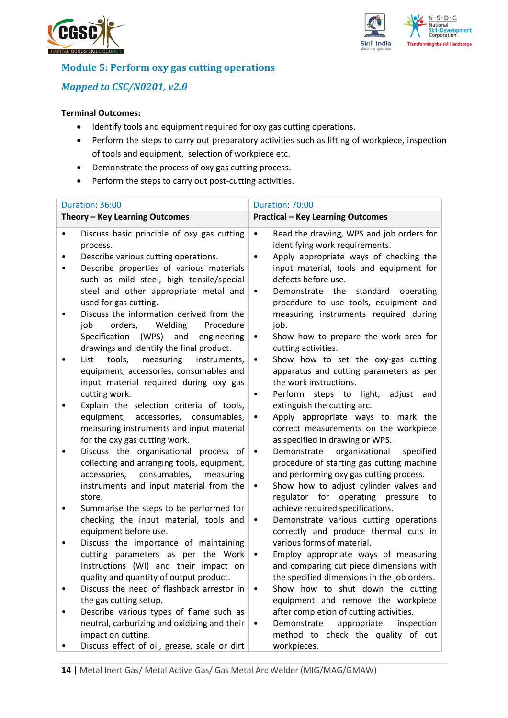



## **Module 5: Perform oxy gas cutting operations**

## *Mapped to CSC/N0201, v2.0*

- Identify tools and equipment required for oxy gas cutting operations.
- Perform the steps to carry out preparatory activities such as lifting of workpiece, inspection of tools and equipment, selection of workpiece etc.
- Demonstrate the process of oxy gas cutting process.
- Perform the steps to carry out post-cutting activities.

| Duration: 36:00 |                                                                                                                                                                                                                                                                                                      | Duration: 70:00                                                                                                                                                                                                                                                                                                                                   |            |
|-----------------|------------------------------------------------------------------------------------------------------------------------------------------------------------------------------------------------------------------------------------------------------------------------------------------------------|---------------------------------------------------------------------------------------------------------------------------------------------------------------------------------------------------------------------------------------------------------------------------------------------------------------------------------------------------|------------|
|                 | Theory - Key Learning Outcomes                                                                                                                                                                                                                                                                       | <b>Practical - Key Learning Outcomes</b>                                                                                                                                                                                                                                                                                                          |            |
| ٠               | Discuss basic principle of oxy gas cutting<br>process.<br>Describe various cutting operations.<br>Describe properties of various materials<br>such as mild steel, high tensile/special<br>steel and other appropriate metal and<br>used for gas cutting.<br>Discuss the information derived from the | Read the drawing, WPS and job orders for<br>$\bullet$<br>identifying work requirements.<br>Apply appropriate ways of checking the<br>$\bullet$<br>input material, tools and equipment for<br>defects before use.<br>Demonstrate<br>the<br>standard<br>$\bullet$<br>procedure to use tools, equipment and<br>measuring instruments required during | operating  |
|                 | orders,<br>Welding<br>Procedure<br>job<br>(WPS)<br>Specification<br>and<br>engineering<br>drawings and identify the final product.<br>List<br>tools,<br>measuring<br>instruments,<br>equipment, accessories, consumables and<br>input material required during oxy gas                               | job.<br>Show how to prepare the work area for<br>$\bullet$<br>cutting activities.<br>Show how to set the oxy-gas cutting<br>$\bullet$<br>apparatus and cutting parameters as per<br>the work instructions.                                                                                                                                        |            |
|                 | cutting work.<br>Explain the selection criteria of tools,<br>equipment, accessories, consumables,<br>measuring instruments and input material                                                                                                                                                        | Perform steps to light,<br>adjust<br>٠<br>extinguish the cutting arc.<br>Apply appropriate ways to mark the<br>٠<br>correct measurements on the workpiece                                                                                                                                                                                         | and        |
|                 | for the oxy gas cutting work.<br>Discuss the organisational process of<br>collecting and arranging tools, equipment,<br>consumables,<br>accessories,<br>measuring<br>instruments and input material from the<br>store.                                                                               | as specified in drawing or WPS.<br>organizational<br>Demonstrate<br>$\bullet$<br>procedure of starting gas cutting machine<br>and performing oxy gas cutting process.<br>Show how to adjust cylinder valves and<br>$\bullet$<br>regulator for operating pressure to                                                                               | specified  |
|                 | Summarise the steps to be performed for<br>checking the input material, tools and<br>equipment before use.                                                                                                                                                                                           | achieve required specifications.<br>Demonstrate various cutting operations<br>٠<br>correctly and produce thermal cuts in                                                                                                                                                                                                                          |            |
| ٠               | Discuss the importance of maintaining<br>cutting parameters as per the Work<br>Instructions (WI) and their impact on<br>quality and quantity of output product.                                                                                                                                      | various forms of material.<br>Employ appropriate ways of measuring<br>٠<br>and comparing cut piece dimensions with<br>the specified dimensions in the job orders.                                                                                                                                                                                 |            |
|                 | Discuss the need of flashback arrestor in<br>the gas cutting setup.<br>Describe various types of flame such as                                                                                                                                                                                       | Show how to shut down the cutting<br>٠<br>equipment and remove the workpiece<br>after completion of cutting activities.                                                                                                                                                                                                                           |            |
|                 | neutral, carburizing and oxidizing and their<br>impact on cutting.<br>Discuss effect of oil, grease, scale or dirt                                                                                                                                                                                   | Demonstrate<br>appropriate<br>method to check the quality of cut<br>workpieces.                                                                                                                                                                                                                                                                   | inspection |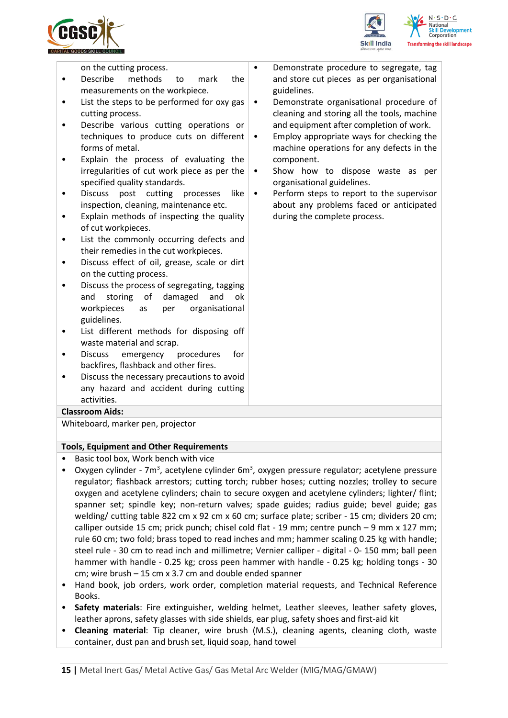



on the cutting process.

- Describe methods to mark the measurements on the workpiece.
- List the steps to be performed for oxy gas cutting process.
- Describe various cutting operations or techniques to produce cuts on different forms of metal.
- Explain the process of evaluating the irregularities of cut work piece as per the specified quality standards.
- Discuss post cutting processes like inspection, cleaning, maintenance etc.
- Explain methods of inspecting the quality of cut workpieces.
- List the commonly occurring defects and their remedies in the cut workpieces.
- Discuss effect of oil, grease, scale or dirt on the cutting process.
- Discuss the process of segregating, tagging and storing of damaged and ok workpieces as per organisational guidelines.
- List different methods for disposing off waste material and scrap.
- Discuss emergency procedures for backfires, flashback and other fires.
- Discuss the necessary precautions to avoid any hazard and accident during cutting activities.

#### **Classroom Aids:**

Whiteboard, marker pen, projector

#### **Tools, Equipment and Other Requirements**

- Basic tool box, Work bench with vice
- Oxygen cylinder 7m<sup>3</sup>, acetylene cylinder 6m<sup>3</sup>, oxygen pressure regulator; acetylene pressure regulator; flashback arrestors; cutting torch; rubber hoses; cutting nozzles; trolley to secure oxygen and acetylene cylinders; chain to secure oxygen and acetylene cylinders; lighter/ flint; spanner set; spindle key; non-return valves; spade guides; radius guide; bevel guide; gas welding/ cutting table 822 cm x 92 cm x 60 cm; surface plate; scriber - 15 cm; dividers 20 cm; calliper outside 15 cm; prick punch; chisel cold flat - 19 mm; centre punch – 9 mm x 127 mm; rule 60 cm; two fold; brass toped to read inches and mm; hammer scaling 0.25 kg with handle; steel rule - 30 cm to read inch and millimetre; Vernier calliper - digital - 0- 150 mm; ball peen hammer with handle - 0.25 kg; cross peen hammer with handle - 0.25 kg; holding tongs - 30 cm; wire brush – 15 cm x 3.7 cm and double ended spanner
- Hand book, job orders, work order, completion material requests, and Technical Reference Books.
- **Safety materials**: Fire extinguisher, welding helmet, Leather sleeves, leather safety gloves, leather aprons, safety glasses with side shields, ear plug, safety shoes and first-aid kit
- **Cleaning material**: Tip cleaner, wire brush (M.S.), cleaning agents, cleaning cloth, waste container, dust pan and brush set, liquid soap, hand towel
- Demonstrate procedure to segregate, tag and store cut pieces as per organisational guidelines.
	- Demonstrate organisational procedure of cleaning and storing all the tools, machine and equipment after completion of work.
- Employ appropriate ways for checking the machine operations for any defects in the component.
- Show how to dispose waste as per organisational guidelines.
- Perform steps to report to the supervisor about any problems faced or anticipated during the complete process.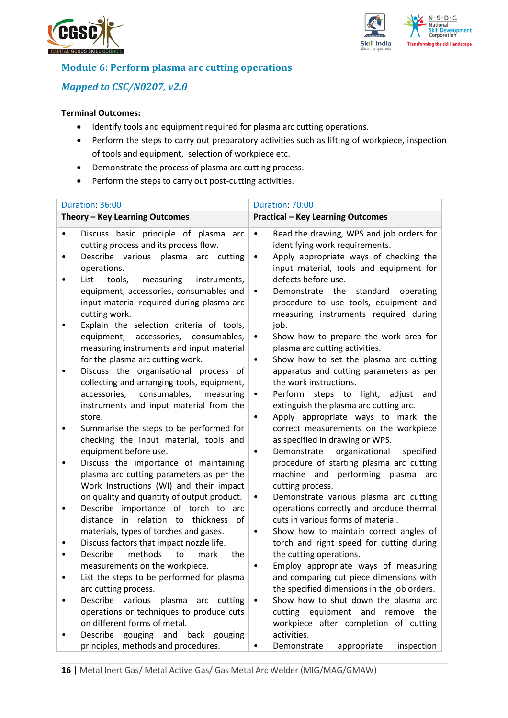



## **Module 6: Perform plasma arc cutting operations**

## *Mapped to CSC/N0207, v2.0*

- Identify tools and equipment required for plasma arc cutting operations.
- Perform the steps to carry out preparatory activities such as lifting of workpiece, inspection of tools and equipment, selection of workpiece etc.
- Demonstrate the process of plasma arc cutting process.
- Perform the steps to carry out post-cutting activities.

| Duration: 36:00 |                                                                                                                                                       | Duration: 70:00                                                                                                                                            |  |
|-----------------|-------------------------------------------------------------------------------------------------------------------------------------------------------|------------------------------------------------------------------------------------------------------------------------------------------------------------|--|
|                 | Theory - Key Learning Outcomes                                                                                                                        | <b>Practical - Key Learning Outcomes</b>                                                                                                                   |  |
|                 | Discuss basic principle of plasma arc<br>cutting process and its process flow.<br>Describe various plasma arc cutting                                 | Read the drawing, WPS and job orders for<br>$\bullet$<br>identifying work requirements.<br>Apply appropriate ways of checking the<br>$\bullet$             |  |
|                 | operations.<br>List<br>tools,<br>measuring<br>instruments,                                                                                            | input material, tools and equipment for<br>defects before use.                                                                                             |  |
|                 | equipment, accessories, consumables and<br>input material required during plasma arc<br>cutting work.<br>Explain the selection criteria of tools,     | Demonstrate the<br>standard<br>operating<br>٠<br>procedure to use tools, equipment and<br>measuring instruments required during<br>job.                    |  |
|                 | accessories, consumables,<br>equipment,<br>measuring instruments and input material<br>for the plasma arc cutting work.                               | Show how to prepare the work area for<br>٠<br>plasma arc cutting activities.<br>Show how to set the plasma arc cutting<br>٠                                |  |
|                 | Discuss the organisational process of<br>collecting and arranging tools, equipment,                                                                   | apparatus and cutting parameters as per<br>the work instructions.                                                                                          |  |
|                 | consumables,<br>accessories,<br>measuring<br>instruments and input material from the<br>store.                                                        | Perform steps to light,<br>adjust<br>and<br>$\bullet$<br>extinguish the plasma arc cutting arc.<br>Apply appropriate ways to mark the<br>٠                 |  |
|                 | Summarise the steps to be performed for<br>checking the input material, tools and                                                                     | correct measurements on the workpiece<br>as specified in drawing or WPS.                                                                                   |  |
|                 | equipment before use.<br>Discuss the importance of maintaining<br>plasma arc cutting parameters as per the<br>Work Instructions (WI) and their impact | organizational<br>specified<br>Demonstrate<br>٠<br>procedure of starting plasma arc cutting<br>machine and performing<br>plasma<br>arc<br>cutting process. |  |
|                 | on quality and quantity of output product.<br>Describe importance of torch to arc                                                                     | Demonstrate various plasma arc cutting<br>٠<br>operations correctly and produce thermal                                                                    |  |
|                 | in relation to thickness<br>distance<br>of<br>materials, types of torches and gases.<br>Discuss factors that impact nozzle life.                      | cuts in various forms of material.<br>Show how to maintain correct angles of<br>$\bullet$<br>torch and right speed for cutting during                      |  |
|                 | Describe<br>methods<br>to<br>mark<br>the                                                                                                              | the cutting operations.                                                                                                                                    |  |
|                 | measurements on the workpiece.<br>List the steps to be performed for plasma<br>arc cutting process.                                                   | Employ appropriate ways of measuring<br>and comparing cut piece dimensions with<br>the specified dimensions in the job orders.                             |  |
|                 | Describe various plasma arc cutting<br>operations or techniques to produce cuts<br>on different forms of metal.                                       | Show how to shut down the plasma arc<br>cutting equipment and<br>remove<br>the<br>workpiece after completion of cutting                                    |  |
|                 | Describe gouging and<br>back gouging<br>principles, methods and procedures.                                                                           | activities.<br>Demonstrate<br>appropriate<br>inspection<br>٠                                                                                               |  |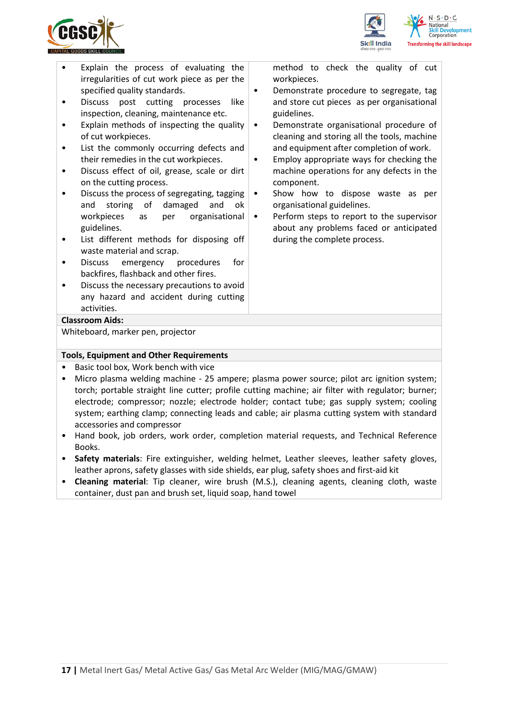



- Explain the process of evaluating the irregularities of cut work piece as per the specified quality standards.
- Discuss post cutting processes like inspection, cleaning, maintenance etc.
- Explain methods of inspecting the quality of cut workpieces.
- List the commonly occurring defects and their remedies in the cut workpieces.
- Discuss effect of oil, grease, scale or dirt on the cutting process.
- Discuss the process of segregating, tagging and storing of damaged and ok workpieces as per organisational guidelines.
- List different methods for disposing off waste material and scrap.
- Discuss emergency procedures for backfires, flashback and other fires.
- Discuss the necessary precautions to avoid any hazard and accident during cutting activities.

method to check the quality of cut workpieces.

- Demonstrate procedure to segregate, tag and store cut pieces as per organisational guidelines.
- Demonstrate organisational procedure of cleaning and storing all the tools, machine and equipment after completion of work.
- Employ appropriate ways for checking the machine operations for any defects in the component.
- Show how to dispose waste as per organisational guidelines.
- Perform steps to report to the supervisor about any problems faced or anticipated during the complete process.

#### **Classroom Aids:**

Whiteboard, marker pen, projector

### **Tools, Equipment and Other Requirements**

- Basic tool box, Work bench with vice
- Micro plasma welding machine 25 ampere; plasma power source; pilot arc ignition system; torch; portable straight line cutter; profile cutting machine; air filter with regulator; burner; electrode; compressor; nozzle; electrode holder; contact tube; gas supply system; cooling system; earthing clamp; connecting leads and cable; air plasma cutting system with standard accessories and compressor
- Hand book, job orders, work order, completion material requests, and Technical Reference Books.
- **Safety materials**: Fire extinguisher, welding helmet, Leather sleeves, leather safety gloves, leather aprons, safety glasses with side shields, ear plug, safety shoes and first-aid kit
- **Cleaning material**: Tip cleaner, wire brush (M.S.), cleaning agents, cleaning cloth, waste container, dust pan and brush set, liquid soap, hand towel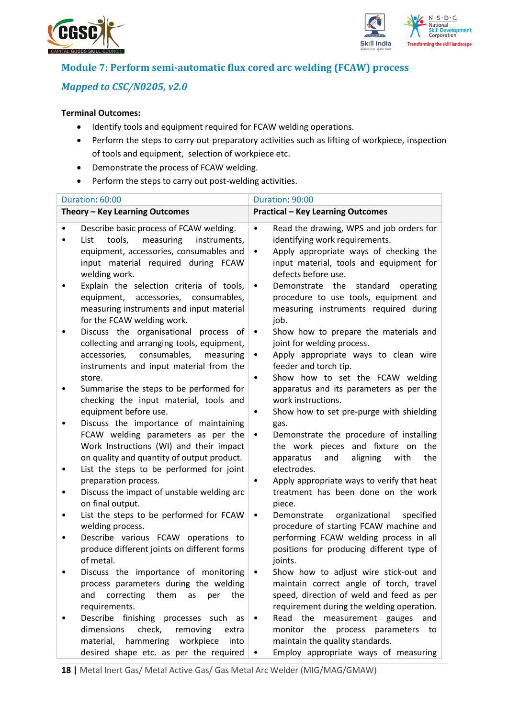



## **Module 7: Perform semi-automatic flux cored arc welding (FCAW) process**

## *Mapped to CSC/N0205, v2.0*

- Identify tools and equipment required for FCAW welding operations.
- Perform the steps to carry out preparatory activities such as lifting of workpiece, inspection of tools and equipment, selection of workpiece etc.
- Demonstrate the process of FCAW welding.
- Perform the steps to carry out post-welding activities.

|   | Duration: 60:00                                                                                                                                                                           | Duration: 90:00                                                                                                                                                                                                  |  |  |  |
|---|-------------------------------------------------------------------------------------------------------------------------------------------------------------------------------------------|------------------------------------------------------------------------------------------------------------------------------------------------------------------------------------------------------------------|--|--|--|
|   | Theory - Key Learning Outcomes                                                                                                                                                            | <b>Practical - Key Learning Outcomes</b>                                                                                                                                                                         |  |  |  |
|   | Describe basic process of FCAW welding.<br>tools,<br>measuring<br>List<br>instruments,<br>equipment, accessories, consumables and<br>input material required during FCAW<br>welding work. | Read the drawing, WPS and job orders for<br>$\bullet$<br>identifying work requirements.<br>Apply appropriate ways of checking the<br>$\bullet$<br>input material, tools and equipment for<br>defects before use. |  |  |  |
|   | Explain the selection criteria of tools,<br>equipment,<br>accessories, consumables,<br>measuring instruments and input material<br>for the FCAW welding work.                             | the<br>Demonstrate<br>standard<br>operating<br>$\bullet$<br>procedure to use tools, equipment and<br>measuring instruments required during<br>job.                                                               |  |  |  |
|   | Discuss the organisational process of<br>collecting and arranging tools, equipment,<br>consumables,<br>accessories,<br>measuring<br>instruments and input material from the<br>store.     | Show how to prepare the materials and<br>$\bullet$<br>joint for welding process.<br>Apply appropriate ways to clean wire<br>$\bullet$<br>feeder and torch tip.<br>Show how to set the FCAW welding<br>$\bullet$  |  |  |  |
|   | Summarise the steps to be performed for<br>checking the input material, tools and<br>equipment before use.                                                                                | apparatus and its parameters as per the<br>work instructions.<br>Show how to set pre-purge with shielding<br>$\bullet$                                                                                           |  |  |  |
|   | Discuss the importance of maintaining<br>FCAW welding parameters as per the<br>Work Instructions (WI) and their impact<br>on quality and quantity of output product.                      | gas.<br>Demonstrate the procedure of installing<br>$\bullet$<br>the work pieces and fixture on<br>the<br>apparatus<br>aligning<br>with<br>the<br>and                                                             |  |  |  |
| ٠ | List the steps to be performed for joint<br>preparation process.<br>Discuss the impact of unstable welding arc<br>on final output.                                                        | electrodes.<br>Apply appropriate ways to verify that heat<br>٠<br>treatment has been done on the work<br>piece.                                                                                                  |  |  |  |
|   | List the steps to be performed for FCAW<br>welding process.                                                                                                                               | organizational<br>Demonstrate<br>specified<br>$\bullet$<br>procedure of starting FCAW machine and                                                                                                                |  |  |  |
|   | Describe various FCAW operations to<br>produce different joints on different forms<br>of metal.                                                                                           | performing FCAW welding process in all<br>positions for producing different type of<br>joints.                                                                                                                   |  |  |  |
|   | Discuss the importance of monitoring<br>process parameters during the welding<br>correcting<br>them<br>and<br>the<br>as<br>per<br>requirements.                                           | Show how to adjust wire stick-out and<br>maintain correct angle of torch, travel<br>speed, direction of weld and feed as per<br>requirement during the welding operation.                                        |  |  |  |
|   | Describe finishing processes such<br>as<br>dimensions<br>check,<br>removing<br>extra<br>material,<br>hammering workpiece<br>into<br>desired shape etc. as per the required                | Read the<br>measurement gauges<br>and<br>٠<br>monitor the<br>process<br>parameters<br>to<br>maintain the quality standards.<br>Employ appropriate ways of measuring                                              |  |  |  |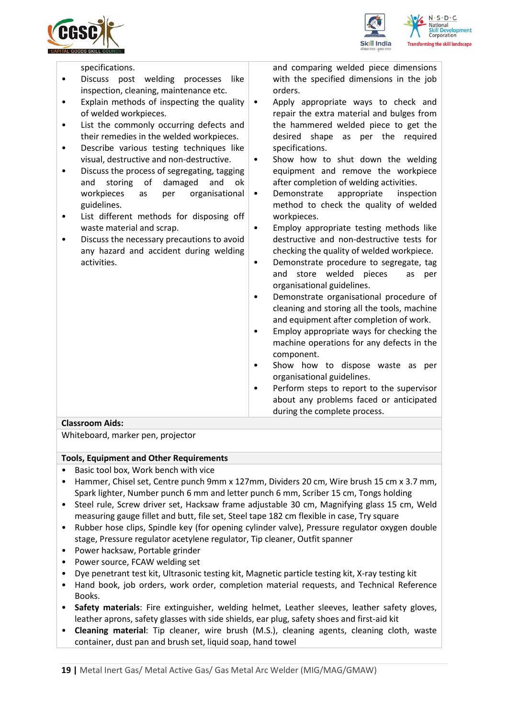



specifications. Discuss post welding processes like inspection, cleaning, maintenance etc. • Explain methods of inspecting the quality of welded workpieces. • List the commonly occurring defects and their remedies in the welded workpieces. • Describe various testing techniques like visual, destructive and non-destructive. • Discuss the process of segregating, tagging and storing of damaged and ok workpieces as per organisational guidelines. • List different methods for disposing off waste material and scrap. • Discuss the necessary precautions to avoid any hazard and accident during welding activities. and comparing welded piece dimensions with the specified dimensions in the job orders. • Apply appropriate ways to check and repair the extra material and bulges from the hammered welded piece to get the desired shape as per the required specifications. Show how to shut down the welding equipment and remove the workpiece after completion of welding activities. Demonstrate appropriate inspection method to check the quality of welded workpieces. • Employ appropriate testing methods like destructive and non-destructive tests for checking the quality of welded workpiece. • Demonstrate procedure to segregate, tag and store welded pieces as per organisational guidelines. • Demonstrate organisational procedure of cleaning and storing all the tools, machine and equipment after completion of work. • Employ appropriate ways for checking the machine operations for any defects in the component.

- Show how to dispose waste as per organisational guidelines.
- Perform steps to report to the supervisor about any problems faced or anticipated during the complete process.

### **Classroom Aids:**

Whiteboard, marker pen, projector

#### **Tools, Equipment and Other Requirements**

- Basic tool box, Work bench with vice
- Hammer, Chisel set, Centre punch 9mm x 127mm, Dividers 20 cm, Wire brush 15 cm x 3.7 mm, Spark lighter, Number punch 6 mm and letter punch 6 mm, Scriber 15 cm, Tongs holding
- Steel rule, Screw driver set, Hacksaw frame adjustable 30 cm, Magnifying glass 15 cm, Weld measuring gauge fillet and butt, file set, Steel tape 182 cm flexible in case, Try square
- Rubber hose clips, Spindle key (for opening cylinder valve), Pressure regulator oxygen double stage, Pressure regulator acetylene regulator, Tip cleaner, Outfit spanner
- Power hacksaw, Portable grinder
- Power source, FCAW welding set
- Dye penetrant test kit, Ultrasonic testing kit, Magnetic particle testing kit, X-ray testing kit
- Hand book, job orders, work order, completion material requests, and Technical Reference Books.
- **Safety materials**: Fire extinguisher, welding helmet, Leather sleeves, leather safety gloves, leather aprons, safety glasses with side shields, ear plug, safety shoes and first-aid kit
- **Cleaning material**: Tip cleaner, wire brush (M.S.), cleaning agents, cleaning cloth, waste container, dust pan and brush set, liquid soap, hand towel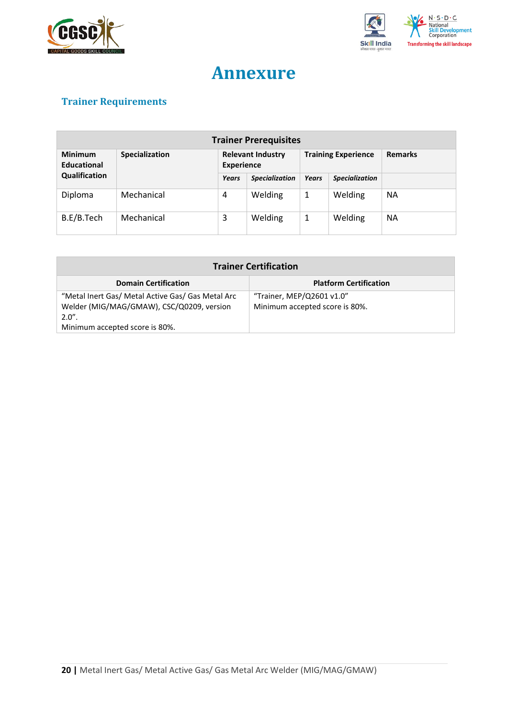



## **Annexure**

## <span id="page-19-0"></span>**Trainer Requirements**

| <b>Trainer Prerequisites</b>  |                |                                               |                       |                            |                       |                |
|-------------------------------|----------------|-----------------------------------------------|-----------------------|----------------------------|-----------------------|----------------|
| <b>Minimum</b><br>Educational | Specialization | <b>Relevant Industry</b><br><b>Experience</b> |                       | <b>Training Experience</b> |                       | <b>Remarks</b> |
| Qualification                 |                | Years                                         | <b>Specialization</b> | <b>Years</b>               | <b>Specialization</b> |                |
| Diploma                       | Mechanical     | 4                                             | Welding               | 1                          | Welding               | <b>NA</b>      |
| B.E/B.Tech                    | Mechanical     | 3                                             | Welding               | 1                          | Welding               | <b>NA</b>      |

| <b>Trainer Certification</b>                                                                   |                                                             |  |  |  |
|------------------------------------------------------------------------------------------------|-------------------------------------------------------------|--|--|--|
| <b>Domain Certification</b>                                                                    | <b>Platform Certification</b>                               |  |  |  |
| "Metal Inert Gas/ Metal Active Gas/ Gas Metal Arc<br>Welder (MIG/MAG/GMAW), CSC/Q0209, version | "Trainer, MEP/Q2601 v1.0"<br>Minimum accepted score is 80%. |  |  |  |
| $2.0"$ .                                                                                       |                                                             |  |  |  |
| Minimum accepted score is 80%.                                                                 |                                                             |  |  |  |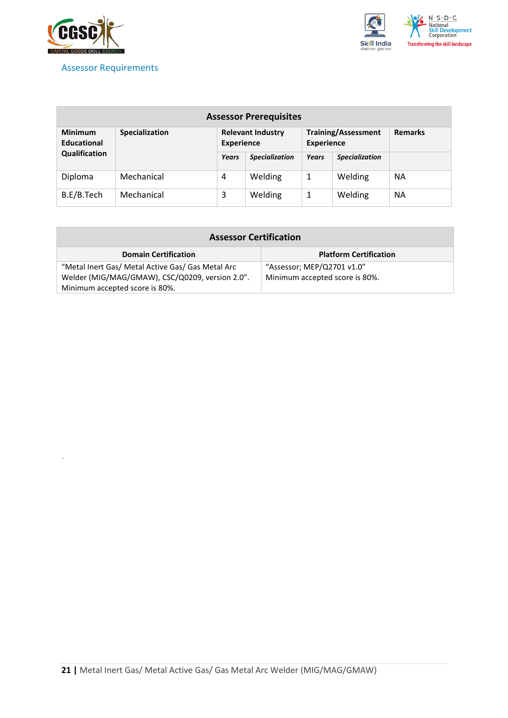

*`*

## <span id="page-20-0"></span>Assessor Requirements



| <b>Assessor Prerequisites</b>        |                       |                                               |                       |                                                 |                       |                |
|--------------------------------------|-----------------------|-----------------------------------------------|-----------------------|-------------------------------------------------|-----------------------|----------------|
| <b>Minimum</b><br><b>Educational</b> | <b>Specialization</b> | <b>Relevant Industry</b><br><b>Experience</b> |                       | <b>Training/Assessment</b><br><b>Experience</b> |                       | <b>Remarks</b> |
| Qualification                        |                       | <b>Years</b>                                  | <b>Specialization</b> | Years                                           | <b>Specialization</b> |                |
| Diploma                              | Mechanical            | 4                                             | Welding               | 1                                               | Welding               | <b>NA</b>      |
| B.E/B.Tech                           | Mechanical            | 3                                             | Welding               | 1                                               | Welding               | <b>NA</b>      |

| <b>Assessor Certification</b>                                                     |                                |  |  |  |
|-----------------------------------------------------------------------------------|--------------------------------|--|--|--|
| <b>Domain Certification</b>                                                       | <b>Platform Certification</b>  |  |  |  |
| "Metal Inert Gas/ Metal Active Gas/ Gas Metal Arc                                 | "Assessor; MEP/Q2701 v1.0"     |  |  |  |
| Welder (MIG/MAG/GMAW), CSC/Q0209, version 2.0".<br>Minimum accepted score is 80%. | Minimum accepted score is 80%. |  |  |  |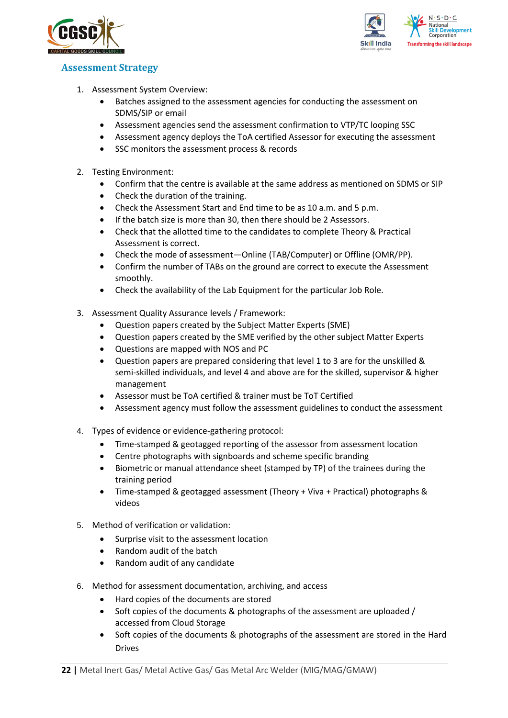



## <span id="page-21-0"></span>**Assessment Strategy**

- 1. Assessment System Overview:
	- Batches assigned to the assessment agencies for conducting the assessment on SDMS/SIP or email
	- Assessment agencies send the assessment confirmation to VTP/TC looping SSC
	- Assessment agency deploys the ToA certified Assessor for executing the assessment
	- SSC monitors the assessment process & records
- 2. Testing Environment:
	- Confirm that the centre is available at the same address as mentioned on SDMS or SIP
	- Check the duration of the training.
	- Check the Assessment Start and End time to be as 10 a.m. and 5 p.m.
	- If the batch size is more than 30, then there should be 2 Assessors.
	- Check that the allotted time to the candidates to complete Theory & Practical Assessment is correct.
	- Check the mode of assessment—Online (TAB/Computer) or Offline (OMR/PP).
	- Confirm the number of TABs on the ground are correct to execute the Assessment smoothly.
	- Check the availability of the Lab Equipment for the particular Job Role.
- 3. Assessment Quality Assurance levels / Framework:
	- Question papers created by the Subject Matter Experts (SME)
	- Question papers created by the SME verified by the other subject Matter Experts
	- Questions are mapped with NOS and PC
	- Question papers are prepared considering that level 1 to 3 are for the unskilled & semi-skilled individuals, and level 4 and above are for the skilled, supervisor & higher management
	- Assessor must be ToA certified & trainer must be ToT Certified
	- Assessment agency must follow the assessment guidelines to conduct the assessment
- 4. Types of evidence or evidence-gathering protocol:
	- Time-stamped & geotagged reporting of the assessor from assessment location
	- Centre photographs with signboards and scheme specific branding
	- Biometric or manual attendance sheet (stamped by TP) of the trainees during the training period
	- Time-stamped & geotagged assessment (Theory + Viva + Practical) photographs & videos
- 5. Method of verification or validation:
	- Surprise visit to the assessment location
	- Random audit of the batch
	- Random audit of any candidate
- 6. Method for assessment documentation, archiving, and access
	- Hard copies of the documents are stored
	- Soft copies of the documents & photographs of the assessment are uploaded / accessed from Cloud Storage
	- Soft copies of the documents & photographs of the assessment are stored in the Hard Drives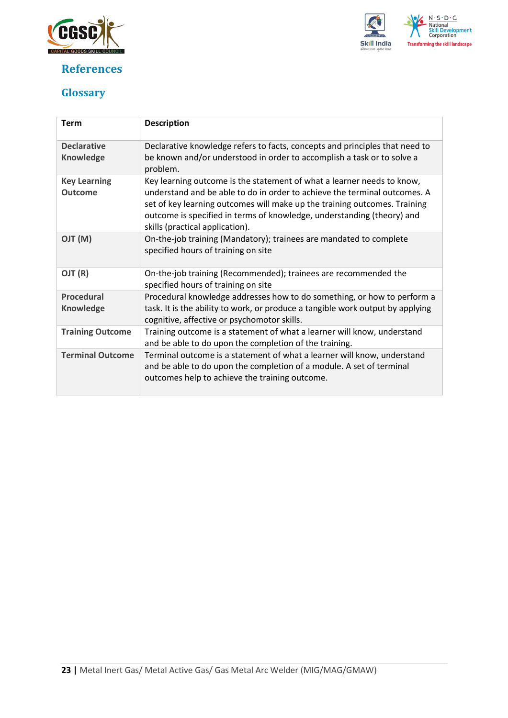

## <span id="page-22-0"></span>**References**



## <span id="page-22-1"></span>**Glossary**

| <b>Term</b>                            | <b>Description</b>                                                                                                                                                                                                                                                                                                                            |
|----------------------------------------|-----------------------------------------------------------------------------------------------------------------------------------------------------------------------------------------------------------------------------------------------------------------------------------------------------------------------------------------------|
| <b>Declarative</b><br><b>Knowledge</b> | Declarative knowledge refers to facts, concepts and principles that need to<br>be known and/or understood in order to accomplish a task or to solve a<br>problem.                                                                                                                                                                             |
| <b>Key Learning</b><br><b>Outcome</b>  | Key learning outcome is the statement of what a learner needs to know,<br>understand and be able to do in order to achieve the terminal outcomes. A<br>set of key learning outcomes will make up the training outcomes. Training<br>outcome is specified in terms of knowledge, understanding (theory) and<br>skills (practical application). |
| (M) TLO                                | On-the-job training (Mandatory); trainees are mandated to complete<br>specified hours of training on site                                                                                                                                                                                                                                     |
| OJT (R)                                | On-the-job training (Recommended); trainees are recommended the<br>specified hours of training on site                                                                                                                                                                                                                                        |
| <b>Procedural</b><br><b>Knowledge</b>  | Procedural knowledge addresses how to do something, or how to perform a<br>task. It is the ability to work, or produce a tangible work output by applying<br>cognitive, affective or psychomotor skills.                                                                                                                                      |
| <b>Training Outcome</b>                | Training outcome is a statement of what a learner will know, understand<br>and be able to do upon the completion of the training.                                                                                                                                                                                                             |
| <b>Terminal Outcome</b>                | Terminal outcome is a statement of what a learner will know, understand<br>and be able to do upon the completion of a module. A set of terminal<br>outcomes help to achieve the training outcome.                                                                                                                                             |